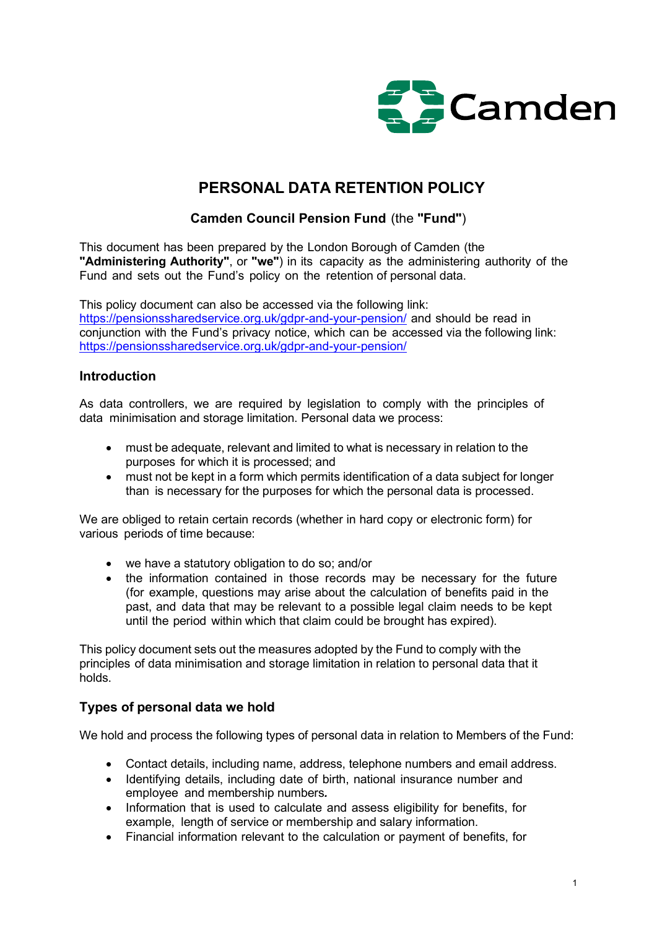

# PERSONAL DATA RETENTION POLICY

## Camden Council Pension Fund (the "Fund")

This document has been prepared by the London Borough of Camden (the "Administering Authority", or "we") in its capacity as the administering authority of the Fund and sets out the Fund's policy on the retention of personal data.

This policy document can also be accessed via the following link: https://pensionssharedservice.org.uk/gdpr-and-your-pension/ and should be read in conjunction with the Fund's privacy notice, which can be accessed via the following link: https://pensionssharedservice.org.uk/gdpr-and-your-pension/

### Introduction

As data controllers, we are required by legislation to comply with the principles of data minimisation and storage limitation. Personal data we process:

- must be adequate, relevant and limited to what is necessary in relation to the purposes for which it is processed; and
- must not be kept in a form which permits identification of a data subject for longer than is necessary for the purposes for which the personal data is processed.

We are obliged to retain certain records (whether in hard copy or electronic form) for various periods of time because:

- we have a statutory obligation to do so; and/or
- the information contained in those records may be necessary for the future (for example, questions may arise about the calculation of benefits paid in the past, and data that may be relevant to a possible legal claim needs to be kept until the period within which that claim could be brought has expired).

This policy document sets out the measures adopted by the Fund to comply with the principles of data minimisation and storage limitation in relation to personal data that it holds.

## Types of personal data we hold

We hold and process the following types of personal data in relation to Members of the Fund:

- Contact details, including name, address, telephone numbers and email address.
- Identifying details, including date of birth, national insurance number and employee and membership numbers.
- Information that is used to calculate and assess eligibility for benefits, for example, length of service or membership and salary information.
- Financial information relevant to the calculation or payment of benefits, for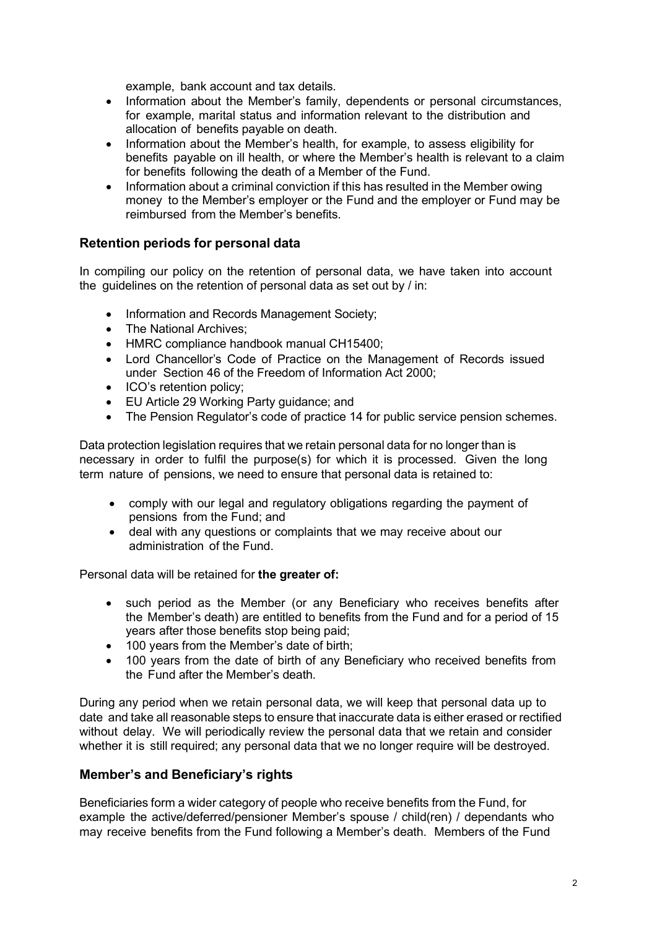example, bank account and tax details.

- Information about the Member's family, dependents or personal circumstances, for example, marital status and information relevant to the distribution and allocation of benefits payable on death.
- Information about the Member's health, for example, to assess eligibility for benefits payable on ill health, or where the Member's health is relevant to a claim for benefits following the death of a Member of the Fund.
- Information about a criminal conviction if this has resulted in the Member owing money to the Member's employer or the Fund and the employer or Fund may be reimbursed from the Member's benefits.

### Retention periods for personal data

In compiling our policy on the retention of personal data, we have taken into account the guidelines on the retention of personal data as set out by / in:

- Information and Records Management Society;
- The National Archives:
- HMRC compliance handbook manual CH15400;
- Lord Chancellor's Code of Practice on the Management of Records issued under Section 46 of the Freedom of Information Act 2000;
- ICO's retention policy;
- EU Article 29 Working Party guidance; and
- The Pension Regulator's code of practice 14 for public service pension schemes.

Data protection legislation requires that we retain personal data for no longer than is necessary in order to fulfil the purpose(s) for which it is processed. Given the long term nature of pensions, we need to ensure that personal data is retained to:

- comply with our legal and regulatory obligations regarding the payment of pensions from the Fund; and
- deal with any questions or complaints that we may receive about our administration of the Fund.

Personal data will be retained for the greater of:

- such period as the Member (or any Beneficiary who receives benefits after the Member's death) are entitled to benefits from the Fund and for a period of 15 years after those benefits stop being paid;
- 100 years from the Member's date of birth:
- 100 years from the date of birth of any Beneficiary who received benefits from the Fund after the Member's death.

During any period when we retain personal data, we will keep that personal data up to date and take all reasonable steps to ensure that inaccurate data is either erased or rectified without delay. We will periodically review the personal data that we retain and consider whether it is still required; any personal data that we no longer require will be destroyed.

### Member's and Beneficiary's rights

Beneficiaries form a wider category of people who receive benefits from the Fund, for example the active/deferred/pensioner Member's spouse / child(ren) / dependants who may receive benefits from the Fund following a Member's death. Members of the Fund